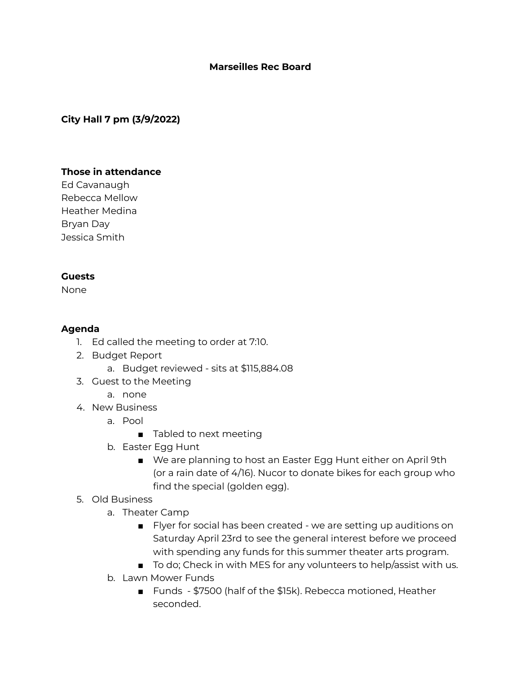### **Marseilles Rec Board**

# **City Hall 7 pm (3/9/2022)**

### **Those in attendance**

Ed Cavanaugh Rebecca Mellow Heather Medina Bryan Day Jessica Smith

### **Guests**

None

## **Agenda**

- 1. Ed called the meeting to order at 7:10.
- 2. Budget Report
	- a. Budget reviewed sits at \$115,884.08
- 3. Guest to the Meeting
	- a. none
- 4. New Business
	- a. Pool
		- Tabled to next meeting
	- b. Easter Egg Hunt
		- We are planning to host an Easter Egg Hunt either on April 9th (or a rain date of 4/16). Nucor to donate bikes for each group who find the special (golden egg).

#### 5. Old Business

- a. Theater Camp
	- Flyer for social has been created we are setting up auditions on Saturday April 23rd to see the general interest before we proceed with spending any funds for this summer theater arts program.
	- To do; Check in with MES for any volunteers to help/assist with us.
- b. Lawn Mower Funds
	- Funds \$7500 (half of the \$15k). Rebecca motioned, Heather seconded.